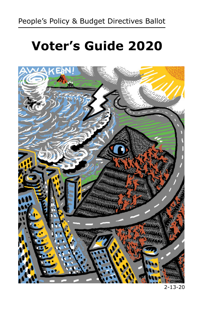# **Voter's Guide 2020**

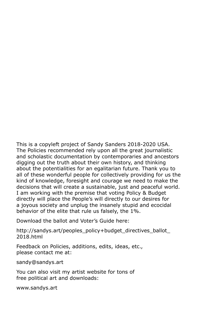This is a copyleft project of Sandy Sanders 2018-2020 USA. The Policies recommended rely upon all the great journalistic and scholastic documentation by contemporaries and ancestors digging out the truth about their own history, and thinking about the potentialities for an egalitarian future. Thank you to all of these wonderful people for collectively providing for us the kind of knowledge, foresight and courage we need to make the decisions that will create a sustainable, just and peaceful world. I am working with the premise that voting Policy & Budget directly will place the People's will directly to our desires for a joyous society and unplug the insanely stupid and ecocidal behavior of the elite that rule us falsely, the 1%.

Download the ballot and Voter's Guide here:

http://sandys.art/peoples\_policy+budget\_directives\_ballot\_ 2018.html

Feedback on Policies, additions, edits, ideas, etc., please contact me at:

sandy@sandys.art

You can also visit my artist website for tons of free political art and downloads:

www.sandys.art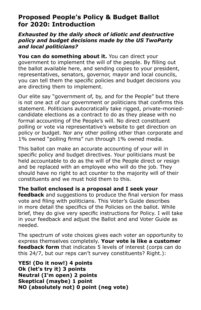#### **Proposed People's Policy & Budget Ballot for 2020: Introduction**

#### *Exhausted by the daily shock of idiotic and destructive policy and budget decisions made by the US TwoParty and local politicians?*

**You can do something about it.** You can direct your government to implement the will of the people. By filling out the ballot available here, and sending copies to your president, representatives, senators, governor, mayor and local councils, you can tell them the specific policies and budget decisions you are directing them to implement.

Our elite say "government of, by, and for the People" but there is not one act of our government or politicians that confirms this statement. Politicians autocratically take rigged, private-moniedcandidate elections as a contract to do as they please with no formal accounting of the People's will. No direct constituent polling or vote via representative's website to get direction on policy or budget. Nor any other polling other than corporate and 1% owned "polling firms" run through 1% owned media.

This ballot can make an accurate accounting of your will in specific policy and budget directives. Your politicians must be held accountable to do as the will of the People direct or resign and be replaced with an employee who will do the job. They should have no right to act counter to the majority will of their constituents and we must hold them to this.

**The ballot enclosed is a proposal and I seek your** 

**feedback** and suggestions to produce the final version for mass vote and filing with politicians. This Voter's Guide describes in more detail the specifics of the Policies on the ballot. While brief, they do give very specific instructions for Policy. I will take in your feedback and adjust the Ballot and and Voter Guide as needed.

The spectrum of vote choices gives each voter an opportunity to express themselves completely. **Your vote is like a customer feedback form** that indicates 5 levels of interest (corps can do this 24/7, but our reps can't survey constituents? Right.):

**YES! (Do it now!) 4 points Ok (let's try it) 3 points Neutral (I'm open) 2 points Skeptical (maybe) 1 point NO (absolutely not) 0 point (neg vote)**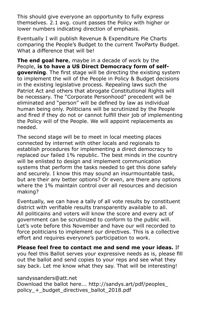This should give everyone an opportunity to fully express themselves. 2.1 avg. count passes the Policy with higher or lower numbers indicating direction of emphasis.

Eventually I will publish Revenue & Expenditure Pie Charts comparing the People's Budget to the current TwoParty Budget. What a difference that will be!

**The end goal here**, maybe in a decade of work by the People, **is to have a US Direct Democracy form of self**governing. The first stage will be directing the existing system to implement the will of the People in Policy & Budget decisions in the existing legislative process. Repealing laws such the Patriot Act and others that abrogate Constitutional Rights will be necessary. The "Corporate Personhood" precedent will be eliminated and "person" will be defined by law as individual human being only. Politicians will be scrutinized by the People and fired if they do not or cannot fulfill their job of implementing the Policy will of the People. We will appoint replacements as needed.

The second stage will be to meet in local meeting places connected by internet with other locals and regionals to establish procedures for implementing a direct democracy to replaced our failed 1% republic. The best minds in the country will be enlisted to design and implement communication systems that perform the tasks needed to get this done safely and securely. I know this may sound an insurmountable task, but are their any better options? Or even, are there any options where the 1% maintain control over all resources and decision making?

Eventually, we can have a tally of all vote results by constituent district with verifiable results transparently available to all. All politicains and voters will know the score and every act of government can be scrutinized to conform to the public will. Let's vote before this November and have our will recorded to force politicians to implement our directives. This is a collective effort and requires everyone's participation to work.

**Please feel free to contact me and send me your ideas.** If you feel this Ballot serves your expressive needs as is, please fill out the ballot and send copies to your reps and see what they say back. Let me know what they say. That will be interesting!

#### sandyssanders@att.net

Download the ballot here... http://sandys.art/pdf/peoples\_ policy\_+\_budget\_directives\_ballot\_2018.pdf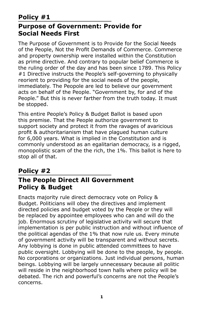#### **Social Needs First**

The Purpose of Government is to Provide for the Social Needs of the People, Not the Profit Demands of Commerce. Commerce and property ownership were installed within the Constitution as prime directive. And contrary to popular belief Commerce is the ruling order of the day and has been since 1789. This Policy #1 Directive instructs the People's self-governing to physically reorient to providing for the social needs of the people, immediately. The Peopole are led to believe our government acts on behalf of the People. "Government by, for and of the People." But this is never farther from the truth today. It must be stopped.

This entire People's Policy & Budget Ballot is based upon this premise. That the People authorize government to support society and protect it from the ravages of avaricious profit & authoritarianism that have plagued human culture for 6,000 years. What is implied in the Constitution and is commonly understood as an egalitarian democracy, is a rigged, monopolistic scam of the the rich, the 1%. This ballot is here to stop all of that.

#### **Policy #2 The People Direct All Government Policy & Budget**

Enacts majority rule direct democracy vote on Policy & Budget. Politicians will obey the directives and implement directed policies and budget voted by the People or they will be replaced by appointee employees who can and will do the job. Enormous scrutiny of legislative activity will secure that implementation is per public instruction and without influence of the political agendas of the 1% that now rule us. Every minute of government activity will be transparent and without secrets. Any lobbying is done in public attended committees to have public oversight. Lobbying will be done to the people, by people. No corporations or organizations. Just individual persons, human beings. Lobbying will be largely unnecessary because all politic will reside in the neighborhood town halls where policy will be debated. The rich and powerful's concerns are not the People's concerns.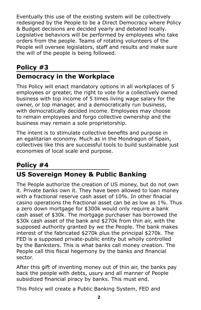Eventually this use of the existing system will be collectively redesigned by the People to be a Direct Democracy where Policy & Budget decisions are decided yearly and debated locally. Legislative behaviors will be performed by employees who take orders from the people. Teams of rotating volunteers of the People will oversee legislators, staff and results and make sure the will of the people is being followed.

## **Policy #3**

## **Democracy in the Workplace**

This Policy will enact mandatory options in all workplaces of 5 employees or greater, the right to vote for a collectively owned business with top income of 5 times living wage salary for the owner, or top manager, and a democratically run business, with democratically decided income. Employees may choose to remain employees and forgo collective ownership and the business may remain a sole proprietorship.

The intent is to stimulate collective benefits and purpose in an egalitarian economy. Much as in the Mondragon of Spain, collectives like this are successful tools to build sustainable just economies of local scale and purpose.

#### **Policy #4 US Sovereign Money & Public Banking**

The People authorize the creation of US money, but do not own it. Private banks own it. They have been allowed to loan money with a fractional reserve cash asset of 10%. In other finacial casino operations the fractional asset can be as low as 1%. Thus a zero down mortgage for \$300k would only require a bank cash asset of \$30k. The mortgage purchaser has borrowed the \$30k cash asset of the bank and \$270k from thin air, with the supposed authority granted by we the People. The bank makes interest of the fabricated \$270k plus the principal \$270k. The FED is a supposed private-public entity but wholly controlled by the Banksters. This is what banks call money creation. The People call this fiscal hegemony by the banks and financial sector.

After this gift of inventing money out of thin air, the banks pay back the people with debts, usury and all manner of People subsidized financial piracy by banks. This must end.

This Policy will create a Public Banking System, FED and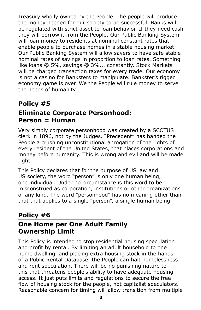Treasury wholly owned by the People. The people will produce the money needed for our society to be successful. Banks will be regulated with strict asset to loan behavior. If they need cash they will borrow it from the People. Our Public Banking System will loan money to residents at nominal constant rates that enable people to purchase homes in a stable housing market. Our Public Banking System will allow savers to have safe stable nominal rates of savings in proportion to loan rates. Something like loans @ 5%, savings @ 3%... constantly. Stock Markets will be charged transaction taxes for every trade. Our economy is not a casino for Banksters to manipulate. Bankster's rigged economy game is over. We the People will rule money to serve the needs of humanity.

#### **Policy #5 Eliminate Corporate Personhood: Person = Human**

Very simply corporate personhood was created by a SCOTUS clerk in 1896, not by the Judges. "Precedent" has handed the People a crushing unconstitutional abrogation of the rights of every resident of the United States, that places corporations and money before humanity. This is wrong and evil and will be made right.

This Policy declares that for the purpose of US law and US society, the word "person" is only one human being, one individual. Under no circumstance is this word to be misconstrued as corporation, institutions or other organizations of any kind. The word "personhood" has no meaning other than that that applies to a single "person", a single human being.

#### **Policy #6 One Home per One Adult Family Ownership Limit**

This Policy is intended to stop residential housing speculation and profit by rental. By limiting an adult household to one home dwelling, and placing extra housing stock in the hands of a Public Rental Database, the People can halt homelessness and rent speculation. There will be no punishing nature to this that threatens people's ability to have adequate housing access. It just puts limits and regulations to secure the free flow of housing stock for the people, not capitalist speculators. Reasonable concern for timing will allow transition from multiple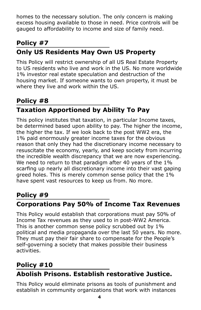homes to the necessary solution. The only concern is making excess housing available to those in need. Price controls will be gauged to affordability to income and size of family need.

## **Policy #7 Only US Residents May Own US Property**

This Policy will restrict ownership of all US Real Estate Property to US residents who live and work in the US. No more worldwide 1% investor real estate speculation and destruction of the housing market. If someone wants to own property, it must be where they live and work within the US.

## **Policy #8 Taxation Apportioned by Ability To Pay**

This policy institutes that taxation, in particular Income taxes, be determined based upon ability to pay. The higher the income, the higher the tax. If we look back to the post WW2 era, the 1% paid enormously greater income taxes for the obvious reason that only they had the discretionary income necessary to resuscitate the economy, yearly, and keep society from incurring the incredible wealth discrepancy that we are now experiencing. We need to return to that paradigm after 40 years of the 1% scarfing up nearly all discretionary income into their vast gaping greed holes. This is merely common sense policy that the 1% have spent vast resources to keep us from. No more.

## **Policy #9**

## **Corporations Pay 50% of Income Tax Revenues**

This Policy would establish that corporations must pay 50% of Income Tax revenues as they used to in post-WW2 America. This is another common sense policy scrubbed out by 1% political and media propaganda over the last 50 years. No more. They must pay their fair share to compensate for the People's self-governing a society that makes possible their business activities.

#### **Policy #10**

## **Abolish Prisons. Establish restorative Justice.**

This Policy would eliminate prisons as tools of punishment and establish in community organizations that work with instances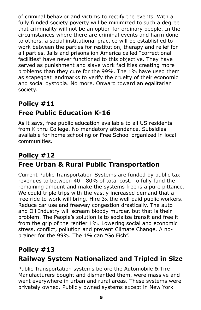of criminal behavior and victims to rectify the events. With a fully funded society poverty will be minimized to such a degree that criminality will not be an option for ordinary people. In the circumstances where there are criminal events and harm done to others, a social institutional practice will be established to work between the parties for restitution, therapy and relief for all parties. Jails and prisons ion America called "correctional facilities" have never functioned to this objective. They have served as punishment and slave work facilities creating more problems than they cure for the 99%. The 1% have used them as scapegoat landmarks to verify the cruelty of their economic and social dystopia. No more. Onward toward an egalitarian society.

## **Policy #11 Free Public Education K-16**

As it says, free public education available to all US residents from K thru College. No mandatory attendance. Subsidies available for home schooling or Free School organized in local communities.

## **Policy #12 Free Urban & Rural Public Transportation**

Current Public Transportation Systems are funded by public tax revenues to between 40 - 80% of total cost. To fully fund the remaining amount and make the systems free is a pure pittance. We could triple trips with the vastly increased demand that a free ride to work will bring. Hire 3x the well paid public workers. Reduce car use and freeway congestion drastically. The auto and Oil Industry will scream bloody murder, but that is their problem. The People's solution is to socialize transit and free it from the grip of the rentier 1%. Lowering social and economic stress, conflict, pollution and prevent Climate Change. A nobrainer for the 99%. The 1% can "Go Fish".

#### **Policy #13**

## **Railway System Nationalized and Tripled in Size**

Public Transportation systems before the Automobile & Tire Manufacturers bought and dismantled them, were massive and went everywhere in urban and rural areas. These systems were privately owned. Publicly owned systems except in New York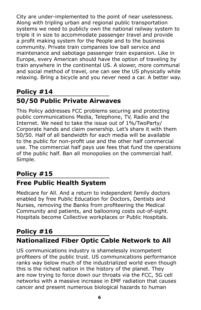City are under-implemented to the point of near uselessness. Along with tripling urban and regional public transportation systems we need to publicly own the national railway system to triple it in size to accommodate passenger travel and provide a profit making system for the People and to the business community. Private train companies low ball service and maintenance and sabotage passenger train expansion. Like in Europe, every American should have the option of traveling by train anywhere in the continental US. A slower, more communal and social method of travel, one can see the US physically while relaxing. Bring a bicycle and you never need a car. A better way.

## **Policy #14 50/50 Public Private Airwaves**

This Policy addresses FCC problems securing and protecting public communications Media, Telephone, TV, Radio and the Internet. We need to take the issue out of 1%/TwoParty/ Corporate hands and claim ownership. Let's share it with them 50/50. Half of all bandwidth for each media will be available to the public for non-profit use and the other half commercial use. The commercial half pays use fees that fund the operations of the public half. Ban all monopolies on the commercial half. Simple.

## **Policy #15**

## **Free Public Health System**

Medicare for All. And a return to independent family doctors enabled by free Public Education for Doctors, Dentists and Nurses, removing the Banks from profiteering the Medical Community and patients, and ballooning costs out-of-sight. Hospitals become Collective workplaces or Public Hospitals.

## **Policy #16 Nationalized Fiber Optic Cable Network to All**

US communications industry is shamelessly incompetent profiteers of the public trust. US communications performance ranks way below much of the industrialized world even though this is the richest nation in the history of the planet. They are now trying to force down our throats via the FCC, 5G cell networks with a massive increase in EMF radiation that causes cancer and present numerous biological hazards to human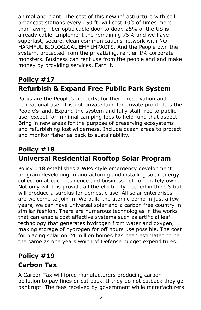animal and plant. The cost of this new infrastructure with cell broadcast stations every 250 ft. will cost 10's of times more than laying fiber optic cable door to door. 25% of the US is already cable. Implement the remaining 75% and we have superfast, secure, clean communications network with NO HARMFUL BIOLOGICAL EMF IMPACTS. And the People own the system, protected from the privatizing, rentier 1% corporate monsters. Business can rent use from the people and and make money by providing services. Earn it.

## **Policy #17 Refurbish & Expand Free Public Park System**

Parks are the People's property, for their preservation and recreational use. It is not private land for private profit. It is the People's land. Expand the system and fully staff free to public use, except for minimal camping fees to help fund that aspect. Bring in new areas for the purpose of preserving ecosystems and refurbishing lost wilderness. Include ocean areas to protect and monitor fisheries back to sustainability.

## **Policy #18 Universal Residential Rooftop Solar Program**

Policy #18 establishes a WPA style emergency development program developing, manufacturing and installing solar energy collection at each residence and business not corporately owned. Not only will this provide all the electricity needed in the US but will produce a surplus for domestic use. All solar enterprises are welcome to join in. We build the atomic bomb in just a few years, we can have universal solar and a carbon free country in similar fashion. There are numerous technologies in the works that can enable cost effective systems such as artificial leaf technology that generates hydrogen from water and oxygen, making storage of hydrogen for off hours use possible. The cost for placing solar on 24 million homes has been estimated to be the same as one years worth of Defense budget expenditures.

#### **Policy #19**

## **Carbon Tax**

A Carbon Tax will force manufacturers producing carbon pollution to pay fines or cut back. If they do not cutback they go bankrupt. The fees received by government while manufacturers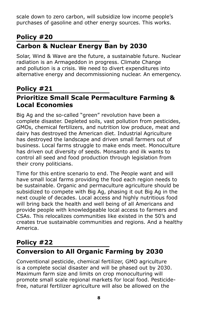scale down to zero carbon, will subsidize low income people's purchases of gasoline and other energy sources. This works.

## **Policy #20 Carbon & Nuclear Energy Ban by 2030**

Solar, Wind & Wave are the future, a sustainable future. Nuclear radiation is an Armageddon in progress. Climate Change and pollution is a crisis. We need to divert expenditures into alternative energy and decommissioning nuclear. An emergency.

#### **Policy #21**

#### **Prioritize Small Scale Permaculture Farming & Local Economies**

Big Ag and the so-called "green" revolution have been a complete disaster. Depleted soils, vast pollution from pesticides, GMOs, chemical fertilizers, and nutrition low produce, meat and dairy has destroyed the American diet. Industrial Agriculture has destroyed the landscape and driven small farmers out of business. Local farms struggle to make ends meet. Monoculture has driven out diversity of seeds. Monsanto and ilk wants to control all seed and food production through legislation from their crony politicians.

Time for this entire scenario to end. The People want and will have small local farms providing the food each region needs to be sustainable. Organic and permaculture agriculture should be subsidized to compete with Big Ag, phasing it out Big Ag in the next couple of decades. Local access and highly nutritious food will bring back the health and well being of all Americans and provide people with knowledgeable local access to farmers and CSAs. This relocalizes communities like existed in the 50's and creates true sustainable communities and regions. And a healthy America.

#### **Policy #22**

## **Conversion to All Organic Farming by 2030**

Conventional pesticide, chemical fertilizer, GMO agriculture is a complete social disaster and will be phased out by 2030. Maximum farm size and limits on crop monoculturing will promote small scale regional markets for local food. Pesticidefree, natural fertilizer agriculture will also be allowed on the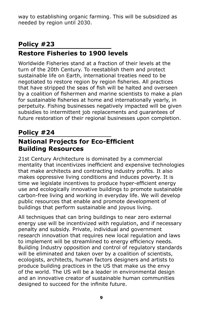way to establishing organic farming. This will be subsidized as needed by region until 2030.

## **Policy #23 Restore Fisheries to 1900 levels**

Worldwide Fisheries stand at a fraction of their levels at the turn of the 20th Century. To reestablish them and protect sustainable life on Earth, international treaties need to be negotiated to restore region by region fisheries. All practices that have stripped the seas of fish will be halted and overseen by a coalition of fishermen and marine scientists to make a plan for sustainable fisheries at home and internationally yearly, in perpetuity. Fishing businesses negatively impacted will be given subsidies to intermittent job replacements and guarantees of future restoration of their regional businesses upon completion.

#### **Policy #24 National Projects for Eco-Efficient Building Resources**

21st Century Architecture is dominated by a commercial mentality that incentivizes inefficient and expensive technologies that make architects and contracting industry profits. It also makes oppressive living conditions and induces poverty. It is time we legislate incentives to produce hyper-efficient energy use and ecologically innovative buildings to promote sustainable carbon-free living and working in everyday life. We will develop public resources that enable and promote development of buildings that perform sustainable and joyous living.

All techniques that can bring buildings to near zero external energy use will be incentivized with regulation, and if necessary penalty and subsidy. Private, individual and government research innovation that requires new local regulation and laws to implement will be streamlined to energy efficiency needs. Building Industry opposition and control of regulatory standards will be eliminated and taken over by a coalition of scientists, ecologists, architects, human factors designers and artists to produce building practices in the US that make us the envy of the world. The US will be a leader in environmental design and an innovative creator of sustainable human communities designed to succeed for the infinite future.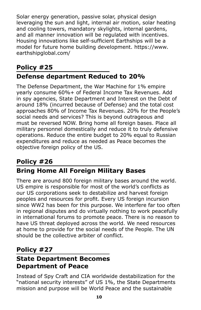Solar energy generation, passive solar, physical design leveraging the sun and light, internal air motion, solar heating and cooling towers, mandatory skylights, internal gardens, and all manner innovation will be regulated with incentives. Housing innovations like self-sufficient Earthships will be a model for future home building development. https://www. earthshipglobal.com/

## **Policy #25 Defense department Reduced to 20%**

The Defense Department, the War Machine for 1% empire yearly consume 60%+ of Federal Income Tax Revenues. Add in spy agencies, State Department and Interest on the Debt of around 18% (incurred because of Defense) and the total cost approaches 80% of Income Tax Revenues. 20% for the People's social needs and services? This is beyond outrageous and must be reversed NOW. Bring home all foreign bases. Place all military personnel domestically and reduce it to truly defensive operations. Reduce the entire budget to 20% equal to Russian expenditures and reduce as needed as Peace becomes the objective foreign policy of the US.

#### **Policy #26 Bring Home All Foreign Military Bases**

There are around 800 foreign military bases around the world. US empire is responsible for most of the world's conflicts as our US corporations seek to destabilize and harvest foreign peoples and resources for profit. Every US foreign incursion since WW2 has been for this purpose. We interfere far too often in regional disputes and do virtually nothing to work peacefully in international forums to promote peace. There is no reason to have US threat deployed across the world. We need resources at home to provide for the social needs of the People. The UN should be the collective arbiter of conflict.

#### **Policy #27**

## **State Department Becomes Department of Peace**

Instead of Spy Craft and CIA worldwide destabilization for the "national security interests" of US 1%, the State Departments mission and purpose will be World Peace and the sustainable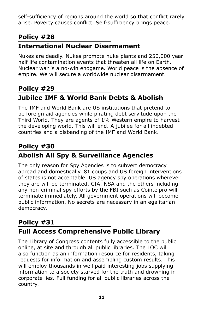self-sufficiency of regions around the world so that conflict rarely arise. Poverty causes conflict. Self-sufficiency brings peace.

#### **Policy #28**

## **International Nuclear Disarmament**

Nukes are deadly. Nukes promote nuke plants and 250,000 year half life contamination events that threaten all life on Earth. Nuclear war is a no-win endgame. World peace is the absence of empire. We will secure a worldwide nuclear disarmament.

## **Policy #29 Jubilee IMF & World Bank Debts & Abolish**

The IMF and World Bank are US institutions that pretend to be foreign aid agencies while pirating debt servitude upon the Third World. They are agents of 1% Western empire to harvest the developing world. This will end. A jubilee for all indebted countries and a disbanding of the IMF and World Bank.

## **Policy #30 Abolish All Spy & Surveillance Agencies**

The only reason for Spy Agencies is to subvert democracy abroad and domestically. 81 coups and US foreign interventions of states is not acceptable. US agency spy operations wherever they are will be terminated. CIA. NSA and the others including any non-criminal spy efforts by the FBI such as Cointelpro will terminate immediately. All government operations will become public information. No secrets are necessary in an egalitarian democracy.

#### **Policy #31 Full Access Comprehensive Public Library**

The Library of Congress contents fully accessible to the public online, at site and through all public libraries. The LOC will also function as an information resource for residents, taking requests for information and assembling custom results. This will employ thousands in well paid interesting jobs supplying information to a society starved for the truth and drowning in corporate lies. Full funding for all public libraries across the country.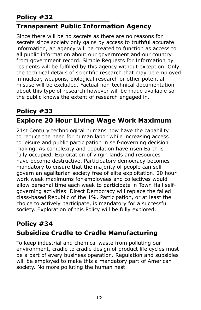## **Policy #32**

#### **Transparent Public Information Agency**

Since there will be no secrets as there are no reasons for secrets since society only gains by access to truthful accurate information, an agency will be created to function as access to all public information about our government and our country from government record. Simple Requests for Information by residents will be fulfilled by this agency without exception. Only the technical details of scientific research that may be employed in nuclear, weapons, biological research or other potential misuse will be excluded. Factual non-technical documentation about this type of research however will be made available so the public knows the extent of research engaged in.

## **Policy #33 Explore 20 Hour Living Wage Work Maximum**

21st Century technological humans now have the capability to reduce the need for human labor while increasing access to leisure and public participation in self-governing decision making. As complexity and population have risen Earth is fully occupied. Exploitation of virgin lands and resources have become destructive. Participatory democracy becomes mandatory to ensure that the majority of people can selfgovern an egalitarian society free of elite exploitation. 20 hour work week maximums for employees and collectives would allow personal time each week to participate in Town Hall selfgoverning activities. Direct Democracy will replace the failed class-based Republic of the 1%. Participation, or at least the choice to actively participate, is mandatory for a successful society. Exploration of this Policy will be fully explored.

#### **Policy #34 Subsidize Cradle to Cradle Manufacturing**

To keep industrial and chemical waste from polluting our environment, cradle to cradle design of product life cycles must be a part of every business operation. Regulation and subsidies will be employed to make this a mandatory part of American society. No more polluting the human nest.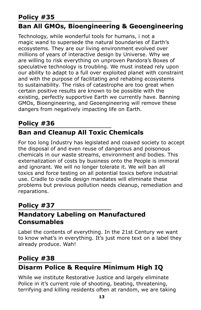## **Policy #35**

## **Ban All GMOs, Bioengineering & Geoengineering**

Technology, while wonderful tools for humans, i not a magic wand to supersede the natural boundaries of Earth's ecosystems. They are our living environment evolved over millions of years of interactive design by Universe. Why we are willing to risk everything on unproven Pandora's Boxes of speculative technology is troubling. We must instead rely upon our ability to adapt to a full over exploited planet with constraint and with the purpose of facilitating and rehabing ecosystems to sustainability. The risks of catastrophe are too great when certain positive results are known to be possible with the existing, perfectly supportive Earth we currently have. Banning GMOs, Bioengineering, and Geoengineering will remove these dangers from negatively impacting life on Earth.

#### **Policy #36**

## **Ban and Cleanup All Toxic Chemicals**

For too long Industry has legislated and coaxed society to accept the disposal of and even reuse of dangerous and poisonous chemicals in our waste streams, environment and bodies. This externalization of costs by business onto the People is immoral and ignorant. We will no longer tolerate it. We will ban all toxics and force testing on all potential toxics before industrial use. Cradle to cradle design mandates will eliminate these problems but previous pollution needs cleanup, remediation and reparations.

#### **Policy #37**

#### **Mandatory Labeling on Manufactured Consumables**

Label the contents of everything. In the 21st Century we want to know what's in everything. It's just more text on a label they already produce. Wah!

#### **Policy #38**

## **Disarm Police & Require Minimum High IQ**

While we institute Restorative Justice and largely eliminate Police in it's current role of shooting, beating, threatening, terrifying and killing residents often at random, we are taking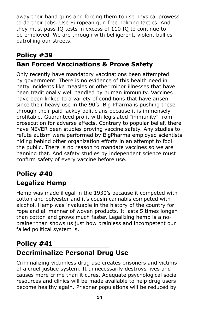away their hand guns and forcing them to use physical prowess to do their jobs. Use European gun free policing tactics. And they must pass IQ tests in excess of 110 IQ to continue to be employed. We are through with belligerent, violent bullies patrolling our streets.

## **Policy #39**

## **Ban Forced Vaccinations & Prove Safety**

Only recently have mandatory vaccinations been attempted by government. There is no evidence of this health need in petty incidents like measles or other minor illnesses that have been traditionally well handled by human immunity. Vaccines have been linked to a variety of conditions that have arisen since their heavy use in the 90's. Big Pharma is pushing these through their paid lackey politicians because it is immensely profitable. Guaranteed profit with legislated "immunity" from prosecution for adverse affects. Contrary to popular belief, there have NEVER been studies proving vaccine safety. Any studies to refute autism were performed by BigPharma employed scientists hiding behind other organization efforts in an attempt to fool the public. There is no reason to mandate vaccines so we are banning that. And safety studies by independent science must confirm safety of every vaccine before use.

# **Policy #40**

## **Legalize Hemp**

Hemp was made illegal in the 1930's because it competed with cotton and polyester and it's cousin cannabis competed with alcohol. Hemp was invaluable in the history of the country for rope and all manner of woven products. It lasts 5 times longer than cotton and grows much faster. Legalizing hemp is a nobrainer than shows us just how brainless and incompetent our failed political system is.

## **Policy #41 Decriminalize Personal Drug Use**

Criminalizing victimless drug use creates prisoners and victims of a cruel justice system. It unnecessarily destroys lives and causes more crime than it cures. Adequate psychological social resources and clinics will be made available to help drug users become healthy again. Prisoner populations will be reduced by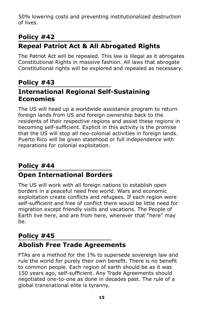50% lowering costs and preventing institutionalized destruction of lives.

#### **Policy #42**

## **Repeal Patriot Act & All Abrogated Rights**

The Patriot Act will be repealed. This law is illegal as it abrogates Constitutional Rights in massive fashion. All laws that abrogate Constitutional rights will be explored and repealed as necessary.

#### **Policy #43 International Regional Self-Sustaining Economies**

The US will head up a worldwide assistance program to return foreign lands from US and foreign ownership back to the residents of their respective regions and assist these regions in becoming self-sufficient. Explicit in this activity is the promise that the US will stop all neo-colonial activities in foreign lands. Puerto Rico will be given statehood or full independence with reparations for colonial exploitation.

#### **Policy #44 Open International Borders**

The US will work with all foreign nations to establish open borders in a peaceful need free world. Wars and economic exploitation create conflicts and refugees. If each region were self-sufficient and free of conflict there would be little need for migration except friendly visits and vacations. The People of Earth live here, and are from here, wherever that "here" may be.

## **Policy #45**

## **Abolish Free Trade Agreements**

FTAs are a method for the 1% to supersede sovereign law and rule the world for purely their own benefit. There is no benefit to common people. Each region of earth should be as it was 150 years ago, self-sufficient. Any Trade Agreements should negotiated one-to-one as done in decades past. The rule of a global transnational elite is tyranny.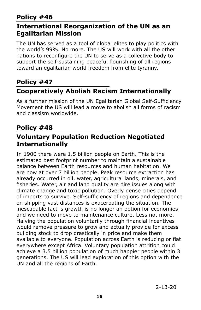#### **International Reorganization of the UN as an Egalitarian Mission**

The UN has served as a tool of global elites to play politics with the world's 99%. No more. The US will work with all the other nations to reconfigure the UN to serve as a collective body to support the self-sustaining peaceful flourishing of all regions toward an egalitarian world freedom from elite tyranny.

#### **Policy #47**

#### **Cooperatively Abolish Racism Internationally**

As a further mission of the UN Egalitarian Global Self-Sufficiency Movement the US will lead a move to abolish all forms of racism and classism worldwide.

#### **Policy #48**

#### **Voluntary Population Reduction Negotiated Internationally**

In 1900 there were 1.5 billion people on Earth. This is the estimated best footprint number to maintain a sustainable balance between Earth resources and human habitation. We are now at over 7 billion people. Peak resource extraction has already occurred in oil, water, agricultural lands, minerals, and fisheries. Water, air and land quality are dire issues along with climate change and toxic pollution. Overly dense cities depend of imports to survive. Self-sufficiency of regions and dependence on shipping vast distances is exacerbating the situation. The inescapable fact is growth is no longer an option for economies and we need to move to maintenance culture. Less not more. Halving the population voluntarily through financial incentives would remove pressure to grow and actually provide for excess building stock to drop drastically in price and make them available to everyone. Population across Earth is reducing or flat everywhere except Africa. Voluntary population attrition could achieve a 3.5 billion population of much happier people within 3 generations. The US will lead exploration of this option with the UN and all the regions of Earth.